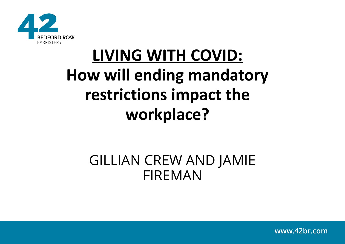

# **LIVING WITH COVID: How will ending mandatory restrictions impact the workplace?**

### GILLIAN CREW AND JAMIE FIREMAN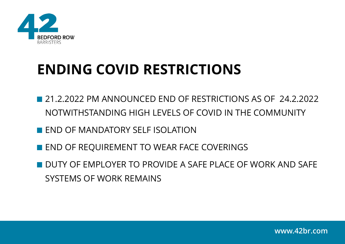

## **ENDING COVID RESTRICTIONS**

- **21.2.2022 PM ANNOUNCED END OF RESTRICTIONS AS OF 24.2.2022** NOTWITHSTANDING HIGH LEVELS OF COVID IN THE COMMUNITY
- **END OF MANDATORY SELF ISOLATION**
- **END OF REQUIREMENT TO WEAR FACE COVERINGS**
- **DUTY OF EMPLOYER TO PROVIDE A SAFE PLACE OF WORK AND SAFE** SYSTEMS OF WORK REMAINS

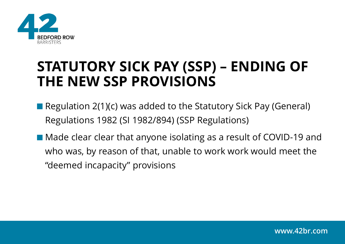

- Regulation 2(1)(c) was added to the Statutory Sick Pay (General) Regulations 1982 (SI 1982/894) (SSP Regulations)
- Made clear clear that anyone isolating as a result of COVID-19 and who was, by reason of that, unable to work work would meet the "deemed incapacity" provisions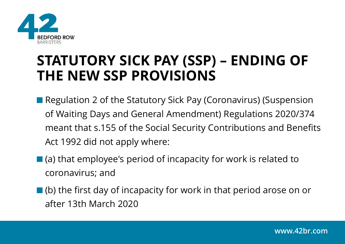

- Regulation 2 of the Statutory Sick Pay (Coronavirus) (Suspension of Waiting Days and General Amendment) Regulations 2020/374 meant that s.155 of the Social Security Contributions and Benefits Act 1992 did not apply where:
- (a) that employee's period of incapacity for work is related to coronavirus; and
- $\blacksquare$  (b) the first day of incapacity for work in that period arose on or after 13th March 2020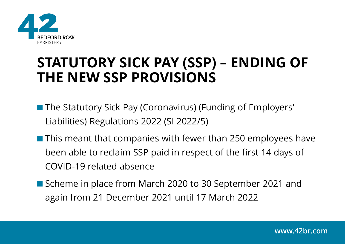

- The Statutory Sick Pay (Coronavirus) (Funding of Employers' Liabilities) Regulations 2022 (SI 2022/5)
- **This meant that companies with fewer than 250 employees have** been able to reclaim SSP paid in respect of the first 14 days of COVID-19 related absence
- Scheme in place from March 2020 to 30 September 2021 and again from 21 December 2021 until 17 March 2022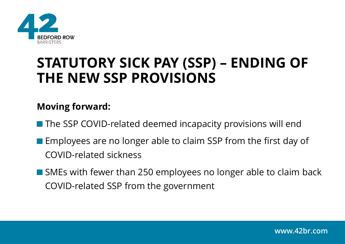

#### **Moving forward:**

■ The SSP COVID-related deemed incapacity provisions will end

- **Employees are no longer able to claim SSP from the first day of** COVID-related sickness
- SMEs with fewer than 250 employees no longer able to claim back COVID-related SSP from the government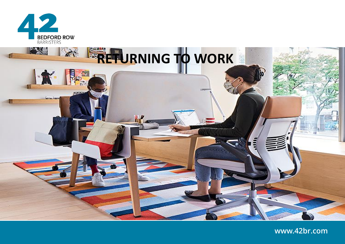

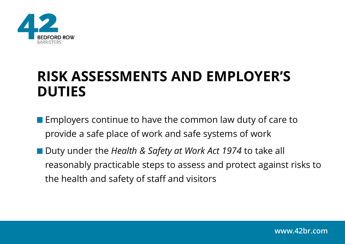

### **RISK ASSESSMENTS AND EMPLOYER'S DUTIES**

- **Employers continue to have the common law duty of care to** provide a safe place of work and safe systems of work
- Duty under the *Health & Safety at Work Act 1974* to take all reasonably practicable steps to assess and protect against risks to the health and safety of staff and visitors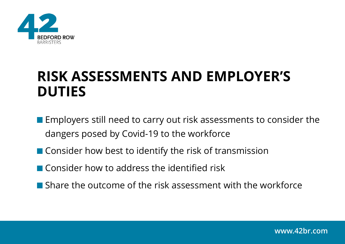

### **RISK ASSESSMENTS AND EMPLOYER'S DUTIES**

- **Employers still need to carry out risk assessments to consider the** dangers posed by Covid-19 to the workforce
- Consider how best to identify the risk of transmission
- Consider how to address the identified risk
- **Share the outcome of the risk assessment with the workforce**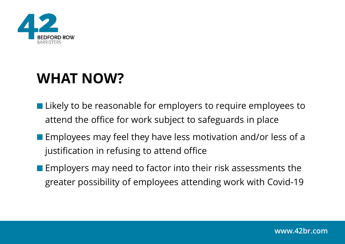

## **WHAT NOW?**

- **Likely to be reasonable for employers to require employees to** attend the office for work subject to safeguards in place
- **Employees may feel they have less motivation and/or less of a** justification in refusing to attend office
- $\blacksquare$  Employers may need to factor into their risk assessments the greater possibility of employees attending work with Covid-19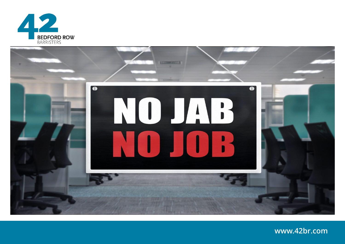

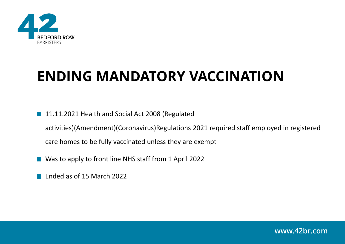

## **ENDING MANDATORY VACCINATION**

- 11.11.2021 Health and Social Act 2008 (Regulated activities)(Amendment)(Coronavirus)Regulations 2021 required staff employed in registered care homes to be fully vaccinated unless they are exempt
- Was to apply to front line NHS staff from 1 April 2022
- Ended as of 15 March 2022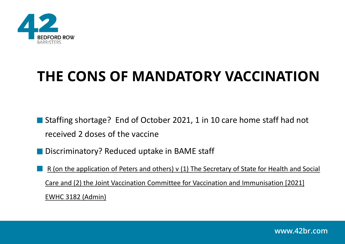

## **THE CONS OF MANDATORY VACCINATION**

■ Staffing shortage? End of October 2021, 1 in 10 care home staff had not received 2 doses of the vaccine

- Discriminatory? Reduced uptake in BAME staff
	- R (on the application of Peters and others) v (1) The Secretary of State for Health and Social Care and (2) the Joint Vaccination Committee for Vaccination and Immunisation [2021] EWHC 3182 (Admin)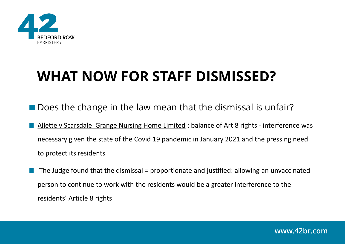

## **WHAT NOW FOR STAFF DISMISSED?**

- Does the change in the law mean that the dismissal is unfair?
	- Allette v Scarsdale Grange Nursing Home Limited : balance of Art 8 rights interference was necessary given the state of the Covid 19 pandemic in January 2021 and the pressing need to protect its residents
- The Judge found that the dismissal = proportionate and justified: allowing an unvaccinated person to continue to work with the residents would be a greater interference to the residents' Article 8 rights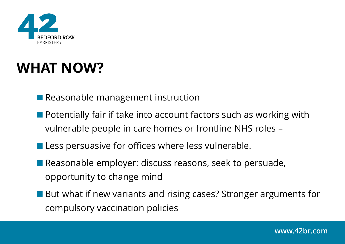

## **WHAT NOW?**

Reasonable management instruction

- **Potentially fair if take into account factors such as working with** vulnerable people in care homes or frontline NHS roles –
- **Less persuasive for offices where less vulnerable.**
- Reasonable employer: discuss reasons, seek to persuade, opportunity to change mind
- But what if new variants and rising cases? Stronger arguments for compulsory vaccination policies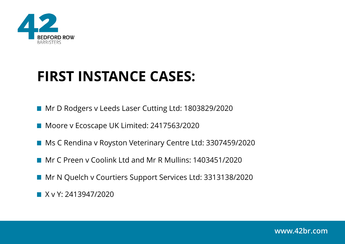

## **FIRST INSTANCE CASES:**

- Mr D Rodgers v Leeds Laser Cutting Ltd: 1803829/2020
- Moore v Ecoscape UK Limited: 2417563/2020
- Ms C Rendina v Royston Veterinary Centre Ltd: 3307459/2020
- **Mr C Preen y Coolink Ltd and Mr R Mullins: 1403451/2020**
- Mr N Quelch v Courtiers Support Services Ltd: 3313138/2020
- **X v Y: 2413947/2020**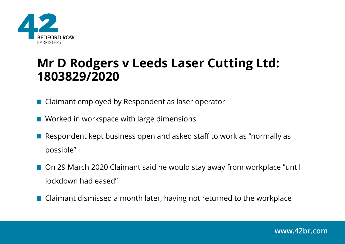

### **Mr D Rodgers v Leeds Laser Cutting Ltd: 1803829/2020**

■ Claimant employed by Respondent as laser operator

- Worked in workspace with large dimensions
- Respondent kept business open and asked staff to work as "normally as possible"
- On 29 March 2020 Claimant said he would stay away from workplace "until lockdown had eased"
- Claimant dismissed a month later, having not returned to the workplace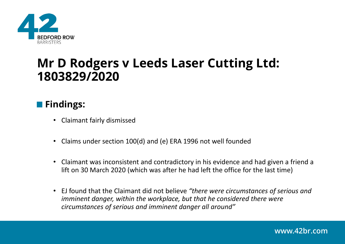

### **Mr D Rodgers v Leeds Laser Cutting Ltd: 1803829/2020**

#### **Findings:**

- Claimant fairly dismissed
- Claims under section 100(d) and (e) ERA 1996 not well founded
- Claimant was inconsistent and contradictory in his evidence and had given a friend a lift on 30 March 2020 (which was after he had left the office for the last time)
- EJ found that the Claimant did not believe *"there were circumstances of serious and imminent danger, within the workplace, but that he considered there were circumstances of serious and imminent danger all around"*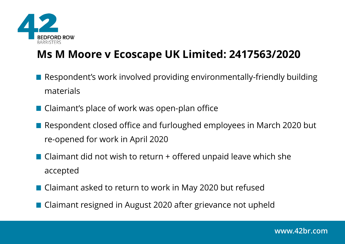

### **Ms M Moore v Ecoscape UK Limited: 2417563/2020**

- Respondent's work involved providing environmentally-friendly building materials
- Claimant's place of work was open-plan office
- Respondent closed office and furloughed employees in March 2020 but re-opened for work in April 2020
- Claimant did not wish to return + offered unpaid leave which she accepted
- Claimant asked to return to work in May 2020 but refused
- Claimant resigned in August 2020 after grievance not upheld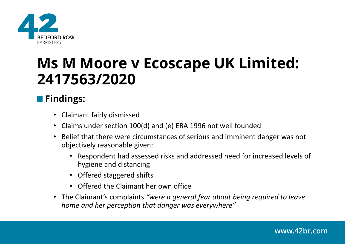

## **Ms M Moore v Ecoscape UK Limited: 2417563/2020**

### **Findings:**

- Claimant fairly dismissed
- Claims under section 100(d) and (e) ERA 1996 not well founded
- Belief that there were circumstances of serious and imminent danger was not objectively reasonable given:
	- Respondent had assessed risks and addressed need for increased levels of hygiene and distancing
	- Offered staggered shifts
	- Offered the Claimant her own office
- The Claimant's complaints *"were a general fear about being required to leave home and her perception that danger was everywhere"*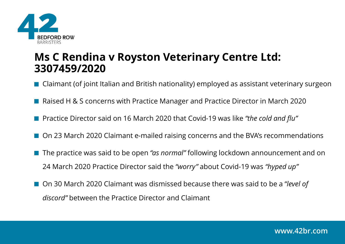

### **Ms C Rendina v Royston Veterinary Centre Ltd: 3307459/2020**

■ Claimant (of joint Italian and British nationality) employed as assistant veterinary surgeon

- Raised H & S concerns with Practice Manager and Practice Director in March 2020
- Practice Director said on 16 March 2020 that Covid-19 was like *"the cold and flu"*
- On 23 March 2020 Claimant e-mailed raising concerns and the BVA's recommendations
- The practice was said to be open *"as normal"* following lockdown announcement and on 24 March 2020 Practice Director said the *"worry"* about Covid-19 was *"hyped up"*
- On 30 March 2020 Claimant was dismissed because there was said to be a "level of *discord"* between the Practice Director and Claimant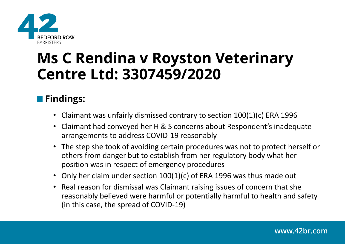

## **Ms C Rendina v Royston Veterinary Centre Ltd: 3307459/2020**

### **Findings:**

- Claimant was unfairly dismissed contrary to section 100(1)(c) ERA 1996
- Claimant had conveyed her H & S concerns about Respondent's inadequate arrangements to address COVID-19 reasonably
- The step she took of avoiding certain procedures was not to protect herself or others from danger but to establish from her regulatory body what her position was in respect of emergency procedures
- Only her claim under section 100(1)(c) of ERA 1996 was thus made out
- Real reason for dismissal was Claimant raising issues of concern that she reasonably believed were harmful or potentially harmful to health and safety (in this case, the spread of COVID-19)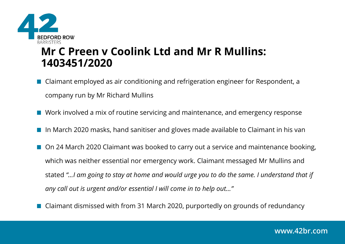

### **Mr C Preen v Coolink Ltd and Mr R Mullins: 1403451/2020**

- Claimant employed as air conditioning and refrigeration engineer for Respondent, a company run by Mr Richard Mullins
- Work involved a mix of routine servicing and maintenance, and emergency response
- In March 2020 masks, hand sanitiser and gloves made available to Claimant in his van
- On 24 March 2020 Claimant was booked to carry out a service and maintenance booking, which was neither essential nor emergency work. Claimant messaged Mr Mullins and stated *"…I am going to stay at home and would urge you to do the same. I understand that if any call out is urgent and/or essential I will come in to help out…"*
- Claimant dismissed with from 31 March 2020, purportedly on grounds of redundancy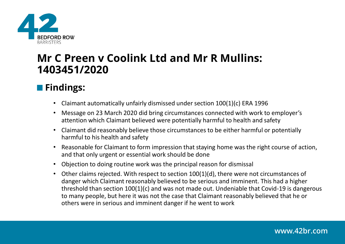

### **Mr C Preen v Coolink Ltd and Mr R Mullins: 1403451/2020**

### **Findings:**

- Claimant automatically unfairly dismissed under section 100(1)(c) ERA 1996
- Message on 23 March 2020 did bring circumstances connected with work to employer's attention which Claimant believed were potentially harmful to health and safety
- Claimant did reasonably believe those circumstances to be either harmful or potentially harmful to his health and safety
- Reasonable for Claimant to form impression that staying home was the right course of action, and that only urgent or essential work should be done
- Objection to doing routine work was the principal reason for dismissal
- Other claims rejected. With respect to section 100(1)(d), there were not circumstances of danger which Claimant reasonably believed to be serious and imminent. This had a higher threshold than section 100(1)(c) and was not made out. Undeniable that Covid-19 is dangerous to many people, but here it was not the case that Claimant reasonably believed that he or others were in serious and imminent danger if he went to work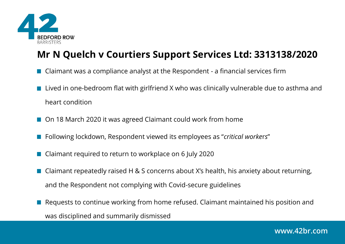

### **Mr N Quelch v Courtiers Support Services Ltd: 3313138/2020**

- Claimant was a compliance analyst at the Respondent a financial services firm
- Lived in one-bedroom flat with girlfriend X who was clinically vulnerable due to asthma and heart condition
- On 18 March 2020 it was agreed Claimant could work from home
- Following lockdown, Respondent viewed its employees as "*critical worke*r*s*"
- Claimant required to return to workplace on 6 July 2020
- Claimant repeatedly raised H & S concerns about X's health, his anxiety about returning, and the Respondent not complying with Covid-secure guidelines
- Requests to continue working from home refused. Claimant maintained his position and was disciplined and summarily dismissed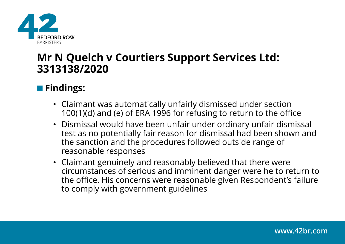

### **Mr N Quelch v Courtiers Support Services Ltd: 3313138/2020**

#### **Findings:**

- Claimant was automatically unfairly dismissed under section 100(1)(d) and (e) of ERA 1996 for refusing to return to the office
- Dismissal would have been unfair under ordinary unfair dismissal test as no potentially fair reason for dismissal had been shown and the sanction and the procedures followed outside range of reasonable responses
- Claimant genuinely and reasonably believed that there were circumstances of serious and imminent danger were he to return to the office. His concerns were reasonable given Respondent's failure to comply with government guidelines